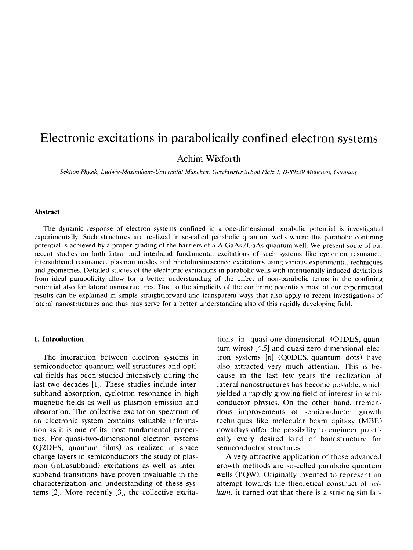# Electronic excitations in parabolically confined electron systems

Achim Wixforth

*Sektion Physik, Ludwig-M~imiliuns-Unil.ersitiir Miinchen, Geschwistrr S~~hollPIUIZ I, D-X0539 Miinchen, Germutz)*

#### **Abstract**

The dynamic response of electron systems confined in a one-dimensional parabolic potential is investigated experimentally. Such structures are realized in so-called parabolic quantum wells where the parabolic confining potential is achieved by a proper grading of the barriers of a AlGaAs/GaAs quantum well. We present some of our recent studies on both intra- and interband fundamental excitations of such systems like cyclotron resonance. intersubband resonance, plasmon modes and photoluminescence excitations using various experimental techniques and geometries. Detailed studies of the electronic excitations in parabolic wells with intentionally induced deviations from idea1 parabolicity allow for a better understanding of the effect of non-parabolic terms in the confining potential also for lateral nanostructures. Due to the simplicity of the confining potentials most of our experimental results can be explained in simple straightforward and transparent ways that also apply to recent investigations of lateral nanostructures and thus may serve for a better understanding also of this rapidly developing field.

### **1. Introduction**

The interaction between electron systems in semiconductor quantum well structures and optical fields has been studied intensively during the last two decades [1]. These studies include intersubband absorption, cyclotron resonance in high magnetic fields as well as plasmon emission and absorption. The collective excitation spectrum of an electronic system contains valuable information as it is one of its most fundamental properties. For quasi-two-dimensional electron systems (Q2DES, quantum films) as realized in space charge layers in semiconductors the study of plasmon (intrasubband) excitations as well as intersubband transitions have proven invaluable in the characterization and understanding of these systems [2]. More recently [3], the collective excita-

tions in quasi-one-dimensional (QlDES, quantum wires) [4,5] and quasi-zero-dimensional electron systems [6] (QODES, quantum dots) have also attracted very much attention. This is because in the last few years the realization of lateral nanostructures has become possible, which yielded a rapidly growing field of interest in semiconductor physics. On the other hand, tremendous improvements of semiconductor growth techniques like molecular beam epitaxy (MBE) nowadays offer the possibility to engineer practically every desired kind of bandstructure for semiconductor structures.

A very attractive application of those advanced growth methods are so-called parabolic quantum wells (PQW). Originally invented to represent an attempt towards the theoretical construct of jel*lium,* it turned out that there is a striking similar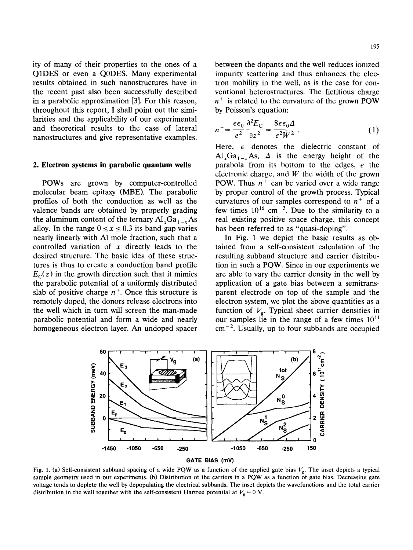ity of many of their properties to the ones of a QlDES or even a QODES. Many experimental results obtained in such nanostructures have in the recent past also been successfully described in a parabolic approximation [3]. For this reason, throughout this report, I shall point out the similarities and the applicability of our experimental and theoretical results to the case of lateral nanostructures and give representative examples.

#### 2. **Electron systems in parabolic quantum wells**

PQWs are grown by computer-controlled molecular beam epitaxy (MBE). The parabolic profiles of both the conduction as well as the valence bands are obtained by properly grading the aluminum content of the ternary  $AI<sub>x</sub>Ga<sub>1-x</sub>As$ alloy. In the range  $0 \le x \le 0.3$  its band gap varies nearly linearly with Al mole fraction, such that a controlled variation of  $x$  directly leads to the desired structure. The basic idea of these structures is thus to create a conduction band profile  $E<sub>C</sub>(z)$  in the growth direction such that it mimics the parabolic potential of a uniformly distributed slab of positive charge  $n^+$ . Once this structure is remotely doped, the donors release electrons into the well which in turn will screen the man-made parabolic potential and form a wide and nearly homogeneous electron layer. An undoped spacer

$$
n^{+} = \frac{\epsilon \epsilon_0}{e^2} \frac{\partial^2 E_{\rm C}}{\partial z^2} = \frac{8 \epsilon \epsilon_0 \Delta}{e^2 W^2}.
$$
 (1)

by Poisson's equation:

Here,  $\epsilon$  denotes the dielectric constant of  $\text{Al}_x\text{Ga}_{1-x}\text{As}, \ \Delta$  is the energy height of the parabola from its bottom to the edges, e the electronic charge, and *W* the width of the grown PQW. Thus  $n^+$  can be varied over a wide range by proper control of the growth process. Typical curvatures of our samples correspond to  $n^+$  of a few times  $10^{16}$  cm<sup>-3</sup>. Due to the similarity to a real existing positive space charge, this concept has been referred to as "quasi-doping".

In Fig. 1 we depict the basic results as obtained from a self-consistent calculation of the resulting subband structure and carrier distribution in such a PQW. Since in our experiments we are able to vary the carrier density in the well by application of a gate bias between a semitransparent electrode on top of the sample and the electron system, we plot the above quantities as a function of  $V_{\rm g}$ . Typical sheet carrier densities in our samples lie in the range of a few times  $10<sup>1</sup>$  $cm^{-2}$ . Usually, up to four subbands are occupied



Fig. 1. (a) Self-consistent subband spacing of a wide PQW as a function of the applied gate bias  $V_g$ . The inset depicts a typical sample geometry used in our experiments. (b) Distribution of the carriers in a PQW as a function of gate bias. Decreasing gate voltage tends to deplete the well by depopulating the electrical subbands. The inset depicts the wavefunctions and the total carrier distribution in the well together with the self-consistent Hartree potential at  $V_g = 0$  V.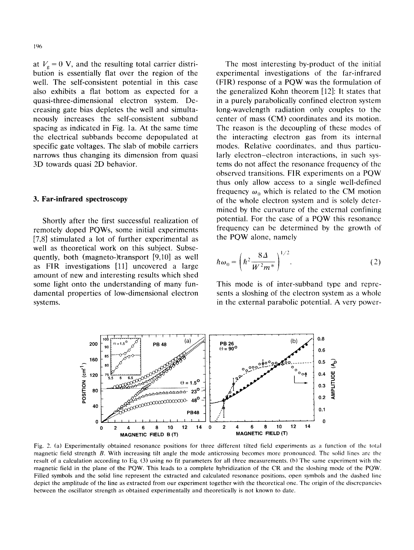at  $V<sub>g</sub> = 0$  V, and the resulting total carrier distribution is essentially flat over the region of the well. The self-consistent potential in this case aiso exhibits a flat bottom as expected for a quasi-three-dimensional electron system. Decreasing gate bias depletes the well and simultaneously increases the self-consistent subband spacing as indicated in Fig. la. At the same time the electrical subbands become depopulated at specific gate voltages. The slab of mobile carriers narrows thus changing its dimension from quasi 3D towards quasi 2D behavior.

## 3. **Far-infrared spectroscopy**

Shortly after the first successful realization of remotely doped PQWs, some initial experiments [7.8] stimulated a lot of further experimental as well as theoretical work on this subject. Subsequently, both (magneto-)transport [9,10] as well as FIR investigations [ll] uncovered a large amount of new and interesting results which shed some light onto the understanding of many fundamental properties of low-dimensional electron systems.

The most interesting by-product of the initial experimental investigations of the far-infrared (FIR) response of a PQW was the formulation of the generalized Kohn theorem [12]: It states that in a purely parabolically confined electron system long-wavelength radiation only couples to the center of mass (CM) coordinates and its motion. The reason is the decoupling of these modes of the interacting electron gas from its internal modes. Relative coordinates, and thus particularly electron-electron interactions, in such systems do not affect the resonance frequency of the observed transitions. FIR experiments on a PQW thus only allow access to a single well-defined frequency  $\omega_0$  which is related to the CM motion of the whole electron system and is solely dctermined by the curvature of the external confining potential. For the case of a PQW this resonance frequency can be determined by the growth of the PQW alone, namely

$$
\hbar\omega_0 = \left(\hbar^2 \frac{8\Delta}{W^2 m^*}\right)^{1/2}.\tag{2}
$$

This mode is of inter-subband type and represents a sloshing of the electron system as a whole in the external parabolic potential. A very power-



Fig. 2. (a) Experimentally obtained resonance positions for three different tilted field experiments as a function of the total magnetic field strength B. With increasing tilt angle the mode anticrossing becomes more pronounced. The solid lines are the result of a calculation according to Eq. (3) using no fit parameters for all three measurements. (b) The same experiment with the magnetic field in the plane of the PQW. This leads to a complete hybridization of the CR and the sloshing mode of the PQW. Filled symbols and the solid line represent the extracted and calculated resonance positions, open symbols and the dashed line depict the amplitude of the line as extracted from our experiment together with the theoretical one. The origin of the discrepancies **hetween the oscillator strength as obtained experimentally and theoretically is not known to date.**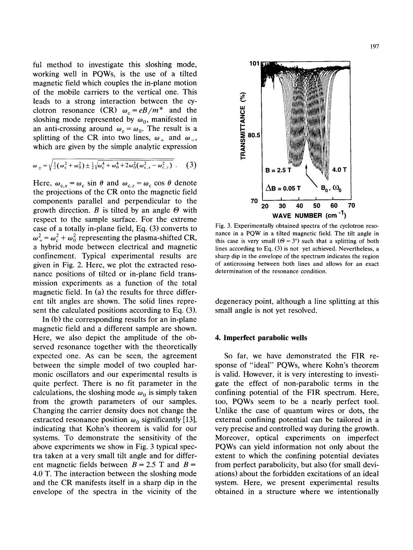ful method to investigate this sloshing mode, working well in PQWs, is the use of a tilted magnetic field which couples the in-plane motion of the mobile carriers to the vertical one. This leads to a strong interaction between the cyclotron resonance (CR)  $\omega_c = eB/m^*$  and the sloshing mode represented by  $\omega_0$ , manifested in an anti-crossing around  $\omega_c = \omega_0$ . The result is a splitting of the CR into two lines,  $\omega_+$  and  $\omega_-,$ which are given by the simple analytic expression

$$
\omega_{\pm} = \sqrt{\frac{1}{2}(\omega_{\rm c}^2 + \omega_0^2) \pm \frac{1}{2}\sqrt{\omega_{\rm c}^4 + \omega_0^4 + 2\omega_0^2(\omega_{\rm c,x}^2 - \omega_{\rm c,z}^2)}}.
$$
 (3)

Here,  $\omega_{c,x} = \omega_c \sin \theta$  and  $\omega_{c,z} = \omega_c \cos \theta$  denote the projections of the CR onto the magnetic field components parallel and perpendicular to the growth direction. *B* is tilted by an angle  $\Theta$  with respect to the sample surface. For the extreme case of a totally in-plane field, Eq. (3) converts to  $\omega_+^2 = \omega_c^2 + \omega_0^2$  representing the plasma-shifted CR, a hybrid mode between electrical and magnetic confinement. Typical experimental results are given in Fig. 2. Here, we plot the extracted resonance positions of tilted or in-plane field transmission experiments as a function of the total magnetic field. In (a) the results for three different tilt angles are shown. The solid lines represent the calculated positions according to Eq. (3).

In (b) the corresponding results for an in-plane magnetic field and a different sample are shown. Here, we also depict the amplitude of the observed resonance together with the theoretically expected one. As can be seen, the agreement between the simple model of two coupled harmonic osciliators and our experimental resuits is quite perfect. There is no fit parameter in the calculations, the sloshing mode  $\omega_0$  is simply taken from the growth parameters of our samples. Changing the carrier density does not change the extracted resonance position  $\omega_0$  significantly [13], indicating that Kohn's theorem is vahd for our systems. To demonstrate the sensitivity of the above experiments we show in Fig. 3 typical spectra taken at a very small tilt angle and for different magnetic fields between  $B = 2.5$  T and  $B =$ 4.0 T. The interaction between the sloshing mode and the CR manifests itseIf in a sharp dip in the envelope of the spectra in the vicinity of the



Fig. 3. Experimentally obtained spectra of the cyclotron resonance in a PQW in a tilted magnetic field. The tilt angle in this case is very small  $(\Theta = 3^{\circ})$  such that a splitting of both lines according to Eq. (3) is not yet achieved. Nevertheless, a sharp dip in the envelope of the spectrum indicates the region of anticrossing between both lines and allows for an exact determination of the resonance condition.

degeneracy point, although a line splitting at this small angle is not yet resolved.

## 4. **Imperfect parabolic wells**

So far, we have demonstrated the FIR response of "ideal" PQWs, where Kohn's theorem is valid. However, it is very interesting to investigate the effect of non-parabolic terms in the confining potential of the FIR spectrum. Here, too, PQWs seem to be a nearly perfect tool. Unlike the case of quantum wires or dots, the external confining potential can be tailored in a very precise and controlled way during the growth. Moreover, optical experiments on imperfect PQWs can yield information not only about the extent to which the confining potential deviates from perfect parabolicity, but also (for small deviations) about the forbidden excitations of an ideal system. Here, we present experimental results obtained in a structure where we intentionally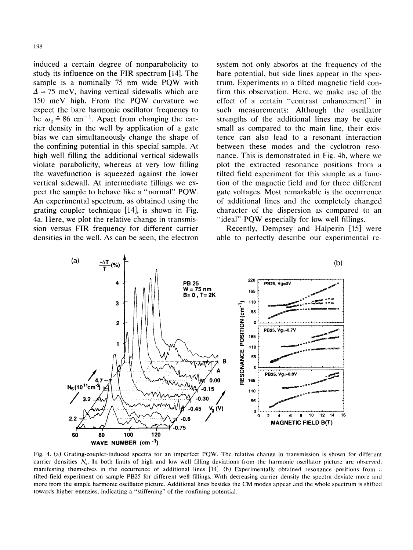induced a certain degree of nonparabolicity to study its influence on the FIR spectrum [14]. The sample is a nominally 75 nm wide PQW with  $\Delta = 75$  meV, having vertical sidewalls which are 150 meV high. From the PQW curvature we expect the bare harmonic oscillator frequency to be  $\omega_0 \triangleq 86$  cm<sup>-1</sup>. Apart from changing the carrier density in the well by application of a gate bias we can simultaneously change the shape of the confining potential in this special sample. At high well filling the additional vertical sidewalls violate parabolicity, whereas at very low filling the wavefunction is squeezed against the lower vertical sidewall. At intermediate fillings we expect the sample to behave like a "normal" PQW. An experimental spectrum, as obtained using the grating coupler technique [14], is shown in Fig. 4a. Here, we plot the relative change in transmission versus FIR frequency for different carrier densities in the well. As can be seen, the electron

system not only absorbs at the frequency of the bare potential, but side lines appear in the spectrum. Experiments in a tilted magnetic field confirm this observation. Here, we make use of the effect of a certain "contrast enhancement" in such measurements: Although the oscillator strengths of the additional lines may be quite small as compared to the main line, their existence can also lead to a resonant interaction between these modes and the cyclotron resonance. This is demonstrated in Fig. 4b, where we plot the extracted resonance positions from a tilted field experiment for this sample as a function of the magnetic field and for three different gate voltages. Most remarkable is the occurrence of additional lines and the completely changed character of the dispersion as compared to an "ideal" PQW especially for low well fillings.

Recently, Dempsey and Halperin [15] were able to perfectly describe our experimental rc-



Fig. 4. (a) Grating-coupler-induced spectra for an imperfect PQW. **The** relative change in transmission is shown for different carrier densities  $N_s$ . In both limits of high and low well filling deviations from the harmonic oscillator picture are observed. manifesting themselves in the occurrence of additional lines [14]. (b) Experimentally obtained resonance positions from a tilted-field experiment on sample PB2S for different well fillings. With decreasing carrier density the spectra deviate more and more from the simple harmonic oscillator picture. Additional lines besides the CM modes appear and the whole spectrum is shifted towards higher energies. indicating a "stiffening" of the confining potential.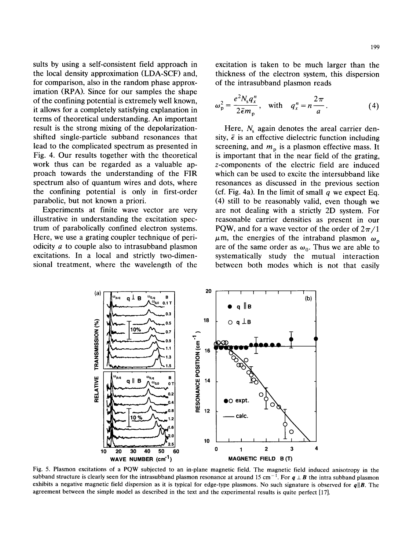sults by using a self-consistent field approach in the local density approximation (LDA-SCF) and, for comparison, also in the random phase approximation (RPA). Since for our samples the shape of the confining potential is extremely well known, it allows for a completely satisfying explanation in terms of theoretical understanding. An important result is the strong mixing of the depolarizationshifted single-particle subband resonances that lead to the complicated spectrum as presented in Fig. 4. Our results together with the theoretical work thus can be regarded as a valuable approach towards the understanding of the FIR spectrum also of quantum wires and dots, where the confining potential is only in first-order parabolic, but not known a priori.

Experiments at finite wave vector are very illustrative in understanding the excitation spectrum of parabolically confined electron systems. Here, we use a grating coupler technique of periodicity a to couple also to intrasubband plasmon excitations. In a local and strictly two-dimensional treatment, where the wavelength of the

excitation is taken to be much larger than the thickness of the electron system, this dispersion of the intrasubband plasmon reads

$$
\omega_p^2 = \frac{e^2 N_s q_x^n}{2 \bar{\epsilon} m_p}, \quad \text{with} \quad q_x^n = n \frac{2\pi}{a}.
$$
 (4)

Here,  $N_s$  again denotes the areal carrier density,  $\bar{\epsilon}$  is an effective dielectric function including screening, and  $m<sub>p</sub>$  is a plasmon effective mass. It is important that in the near field of the grating, z-components of the electric field are induced which can be used to excite the intersubband like resonances as discussed in the previous section (cf. Fig. 4a). In the limit of small *q we* expect Eq. (4) still to be reasonably valid, even though we are not dealing with a strictly 2D system. For reasonable carrier densities as present in our PQW, and for a wave vector of the order of  $2\pi/1$  $\mu$ m, the energies of the intraband plasmon  $\omega_p$ are of the same order as  $\omega_0$ . Thus we are able to systematically study the mutual interaction between both modes which is not that easily



Fig. 5. Plasmon excitations of a PQW subjected to an in-plane magnetic field. The magnetic field induced anisotropy in the subband structure is clearly seen for the intrasubband plasmon resonance at around 15 cm<sup>-1</sup>. For  $q \perp B$  the intra subband plasmon exhibits a negative magnetic field dispersion as it is typical for edge-type plasmons. No such signature is observed for *ql[B.* The agreement between the simple model as described in the text and the experimental results is quite perfect [17].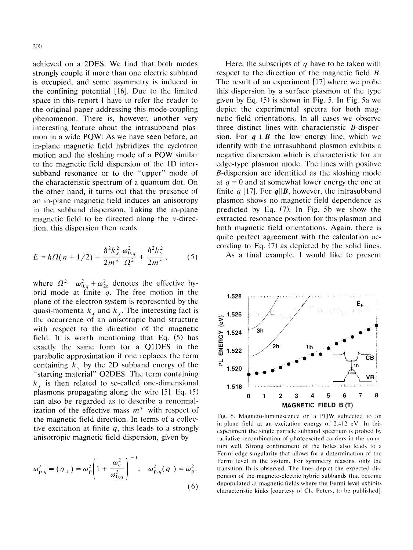achieved on a 2DES. We find that both modes strongly couple if more than one electric subband is occupied, and some asymmetry is induced in the confining potential [16]. Due to the limited space in this report I have to refer the reader to the original paper addressing this mode-coupling phenomenon. There is. however, another very interesting feature about the intrasubband plasmon in a wide PQW: As we have seen before, an in-plane magnetic field hybridizes the cyclotron motion and the sloshing mode of a PQW similar to the magnetic field dispersion of the 1D intersubband resonance or to the "upper" mode of the characteristic spectrum of a quantum dot. On the other hand, it turns out that the presence of an in-plane magnetic field induces an anisotropy in the subband dispersion. Taking the in-plane magnetic field to be directed along the y-direction, this dispersion then reads

$$
E = \hbar \Omega (n + 1/2) + \frac{\hbar^2 k_x^2}{2m^*} \frac{\omega_{0,q}^2}{\Omega^2} + \frac{\hbar^2 k_y^2}{2m^*},
$$
 (5)

where  $\Omega^2 = \omega_{0,a}^2 + \omega_{2c}^2$  denotes the effective hybrid mode at finite  $q$ . The free motion in the plane of the electron system is represented by the quasi-momenta  $k_x$  and  $k_y$ . The interesting fact is the occurrence of an anisotropic band structure with respect to the direction of the magnetic field. It is worth mentioning that Eq. (5) has exactly the same form for a QlDES in the parabolic approximation if one replaces the term containing  $k_{v}$  by the 2D subband energy of the "starting material" Q2DES. The term containing  $k<sub>x</sub>$  is then related to so-called one-dimensional plasmons propagating along the wire [5]. Eq. (5) can also be regarded as to describe a renormalization of the effective mass  $m^*$  with respect of the magnetic field direction. In terms of a collective excitation at finite  $q$ , this leads to a strongly anisotropic magnetic field dispersion, given by

$$
\omega_{p,q}^2 = (q_\perp) = \omega_p^2 \left( 1 + \frac{\omega_c^2}{\omega_{0,q}^2} \right)^{-1}; \quad \omega_{p,q}^2(q_\parallel) = \omega_p^2.
$$
 (6)

Here, the subscripts of  $q$  have to be taken with respect to the direction of the magnetic field R. The result of an experiment [17] where we probe this dispersion by a surface plasmon of the type given by Eq. (5) is shown in Fig. 5. In Fig. 5a we depict the experimental spectra for both magnetic field orientations. In all cases we observe three distinct lines with characteristic B-dispersion. For  $q \perp B$  the low energy line, which we identify with the intrasubband plasmon exhibits a negative dispersion which is characteristic for an edge-type plasmon mode. The lines with positive B-dispersion are identified as the sloshing mode at  $q = 0$  and at somewhat lower energy the one at finite  $q$  [17]. For  $q||B$ , however, the intrasubband plasmon shows no magnetic field dependence as predicted by Eq. (7). In Fig. Sb we show the extracted resonance position for this plasmon and both magnetic field orientations. Again, there is quite perfect agreement with the calculation according to Eq. (7) as depicted by the solid lines.

As a final example. I would like to present



**Fig. h. Magneto-luminescence on a POW subjcctcd to an in-plane field at an excitation energy of 7.-112 c\'. In this experiment the single particle suhhand spectrum is prohd 1~)**  $r$  **radiative recombination** of **photoexcited** carriers in the quan**tum** well. Strong confinement of the holes also leads to a **Fermi edge** singularity that allows for a determination of the **Fermi level in the system. For symmetry reasons. only the tramition** I**h is ohserved. The lines depict the expected dispersion of the magneto-electric hybrid subhands that become depopulated al magnetic fields where the Fermi level exhibits characteristic kinks [courtesy of Ch. Peters, to he puhlishcd].**